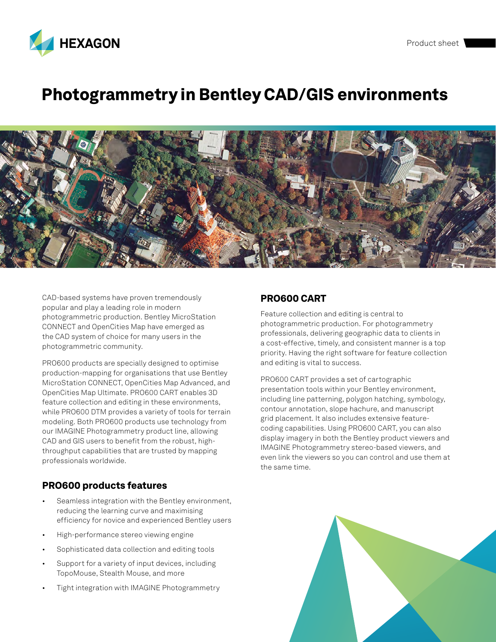

# Photogrammetry in Bentley CAD/GIS environments



CAD-based systems have proven tremendously popular and play a leading role in modern photogrammetric production. Bentley MicroStation CONNECT and OpenCities Map have emerged as the CAD system of choice for many users in the photogrammetric community.

PRO600 products are specially designed to optimise production-mapping for organisations that use Bentley MicroStation CONNECT, OpenCities Map Advanced, and OpenCities Map Ultimate. PRO600 CART enables 3D feature collection and editing in these environments, while PRO600 DTM provides a variety of tools for terrain modeling. Both PRO600 products use technology from our IMAGINE Photogrammetry product line, allowing CAD and GIS users to benefit from the robust, highthroughput capabilities that are trusted by mapping professionals worldwide.

### PRO600 products features

- Seamless integration with the Bentley environment, reducing the learning curve and maximising efficiency for novice and experienced Bentley users
- High-performance stereo viewing engine
- Sophisticated data collection and editing tools
- Support for a variety of input devices, including TopoMouse, Stealth Mouse, and more
- Tight integration with IMAGINE Photogrammetry

# PRO600 CART

Feature collection and editing is central to photogrammetric production. For photogrammetry professionals, delivering geographic data to clients in a cost-effective, timely, and consistent manner is a top priority. Having the right software for feature collection and editing is vital to success.

PRO600 CART provides a set of cartographic presentation tools within your Bentley environment, including line patterning, polygon hatching, symbology, contour annotation, slope hachure, and manuscript grid placement. It also includes extensive featurecoding capabilities. Using PRO600 CART, you can also display imagery in both the Bentley product viewers and IMAGINE Photogrammetry stereo-based viewers, and even link the viewers so you can control and use them at the same time.